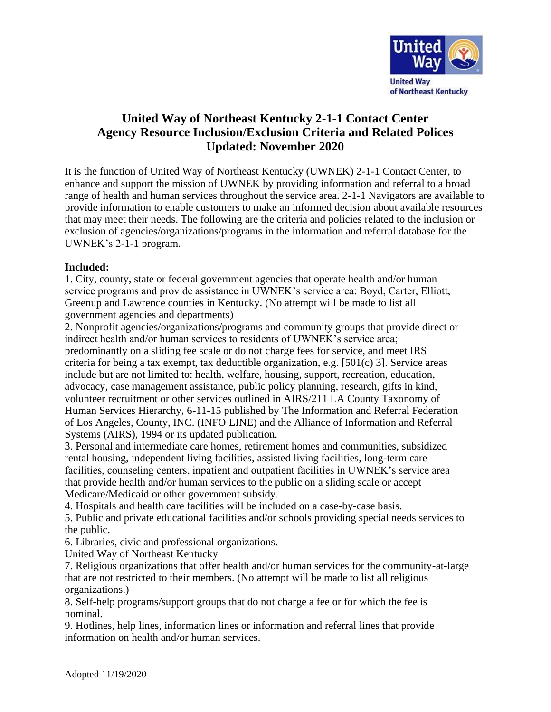

## **United Way of Northeast Kentucky 2-1-1 Contact Center Agency Resource Inclusion/Exclusion Criteria and Related Polices Updated: November 2020**

It is the function of United Way of Northeast Kentucky (UWNEK) 2-1-1 Contact Center, to enhance and support the mission of UWNEK by providing information and referral to a broad range of health and human services throughout the service area. 2-1-1 Navigators are available to provide information to enable customers to make an informed decision about available resources that may meet their needs. The following are the criteria and policies related to the inclusion or exclusion of agencies/organizations/programs in the information and referral database for the UWNEK's 2-1-1 program.

## **Included:**

1. City, county, state or federal government agencies that operate health and/or human service programs and provide assistance in UWNEK's service area: Boyd, Carter, Elliott, Greenup and Lawrence counties in Kentucky. (No attempt will be made to list all government agencies and departments)

2. Nonprofit agencies/organizations/programs and community groups that provide direct or indirect health and/or human services to residents of UWNEK's service area; predominantly on a sliding fee scale or do not charge fees for service, and meet IRS criteria for being a tax exempt, tax deductible organization, e.g. [501(c) 3]. Service areas include but are not limited to: health, welfare, housing, support, recreation, education, advocacy, case management assistance, public policy planning, research, gifts in kind, volunteer recruitment or other services outlined in AIRS/211 LA County Taxonomy of Human Services Hierarchy, 6-11-15 published by The Information and Referral Federation of Los Angeles, County, INC. (INFO LINE) and the Alliance of Information and Referral Systems (AIRS), 1994 or its updated publication.

3. Personal and intermediate care homes, retirement homes and communities, subsidized rental housing, independent living facilities, assisted living facilities, long-term care facilities, counseling centers, inpatient and outpatient facilities in UWNEK's service area that provide health and/or human services to the public on a sliding scale or accept Medicare/Medicaid or other government subsidy.

4. Hospitals and health care facilities will be included on a case-by-case basis.

5. Public and private educational facilities and/or schools providing special needs services to the public.

6. Libraries, civic and professional organizations.

United Way of Northeast Kentucky

7. Religious organizations that offer health and/or human services for the community-at-large that are not restricted to their members. (No attempt will be made to list all religious organizations.)

8. Self-help programs/support groups that do not charge a fee or for which the fee is nominal.

9. Hotlines, help lines, information lines or information and referral lines that provide information on health and/or human services.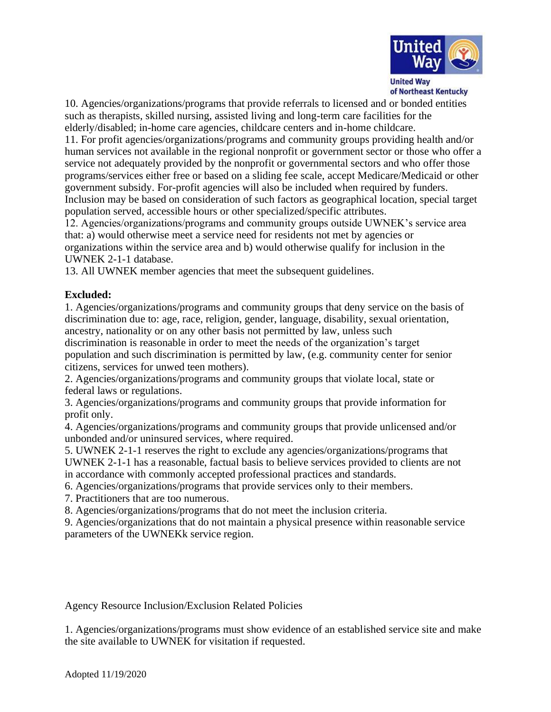

10. Agencies/organizations/programs that provide referrals to licensed and or bonded entities such as therapists, skilled nursing, assisted living and long-term care facilities for the elderly/disabled; in-home care agencies, childcare centers and in-home childcare.

11. For profit agencies/organizations/programs and community groups providing health and/or human services not available in the regional nonprofit or government sector or those who offer a service not adequately provided by the nonprofit or governmental sectors and who offer those programs/services either free or based on a sliding fee scale, accept Medicare/Medicaid or other government subsidy. For-profit agencies will also be included when required by funders. Inclusion may be based on consideration of such factors as geographical location, special target population served, accessible hours or other specialized/specific attributes.

12. Agencies/organizations/programs and community groups outside UWNEK's service area that: a) would otherwise meet a service need for residents not met by agencies or organizations within the service area and b) would otherwise qualify for inclusion in the UWNEK 2-1-1 database.

13. All UWNEK member agencies that meet the subsequent guidelines.

## **Excluded:**

1. Agencies/organizations/programs and community groups that deny service on the basis of discrimination due to: age, race, religion, gender, language, disability, sexual orientation, ancestry, nationality or on any other basis not permitted by law, unless such discrimination is reasonable in order to meet the needs of the organization's target population and such discrimination is permitted by law, (e.g. community center for senior citizens, services for unwed teen mothers).

2. Agencies/organizations/programs and community groups that violate local, state or federal laws or regulations.

3. Agencies/organizations/programs and community groups that provide information for profit only.

4. Agencies/organizations/programs and community groups that provide unlicensed and/or unbonded and/or uninsured services, where required.

5. UWNEK 2-1-1 reserves the right to exclude any agencies/organizations/programs that UWNEK 2-1-1 has a reasonable, factual basis to believe services provided to clients are not in accordance with commonly accepted professional practices and standards.

6. Agencies/organizations/programs that provide services only to their members.

7. Practitioners that are too numerous.

8. Agencies/organizations/programs that do not meet the inclusion criteria.

9. Agencies/organizations that do not maintain a physical presence within reasonable service parameters of the UWNEKk service region.

Agency Resource Inclusion/Exclusion Related Policies

1. Agencies/organizations/programs must show evidence of an established service site and make the site available to UWNEK for visitation if requested.